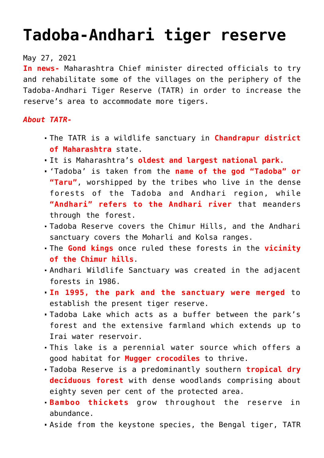## **[Tadoba-Andhari tiger reserve](https://journalsofindia.com/tadoba-andhari-tiger-reserve-2/)**

## May 27, 2021

**In news-** Maharashtra Chief minister directed officials to try and rehabilitate some of the villages on the periphery of the Tadoba-Andhari Tiger Reserve (TATR) in order to increase the reserve's area to accommodate more tigers.

## *About TATR-*

- The TATR is a wildlife sanctuary in **Chandrapur district of Maharashtra** state.
- It is Maharashtra's **oldest and largest national park.**
- 'Tadoba' is taken from the **name of the god "Tadoba" or "Taru"**, worshipped by the tribes who live in the dense forests of the Tadoba and Andhari region, while **"Andhari" refers to the Andhari river** that meanders through the forest.
- Tadoba Reserve covers the Chimur Hills, and the Andhari sanctuary covers the Moharli and Kolsa ranges.
- The **Gond kings** once ruled these forests in the **vicinity of the Chimur hills**.
- Andhari Wildlife Sanctuary was created in the adjacent forests in 1986.
- **In 1995, the park and the sanctuary were merged** to establish the present tiger reserve.
- Tadoba Lake which acts as a buffer between the park's forest and the extensive farmland which extends up to Irai water reservoir.
- This lake is a perennial water source which offers a good habitat for **Mugger crocodiles** to thrive.
- Tadoba Reserve is a predominantly southern **tropical dry deciduous forest** with dense woodlands comprising about eighty seven per cent of the protected area.
- **Bamboo thickets** grow throughout the reserve in abundance.
- Aside from the keystone species, the Bengal tiger, TATR